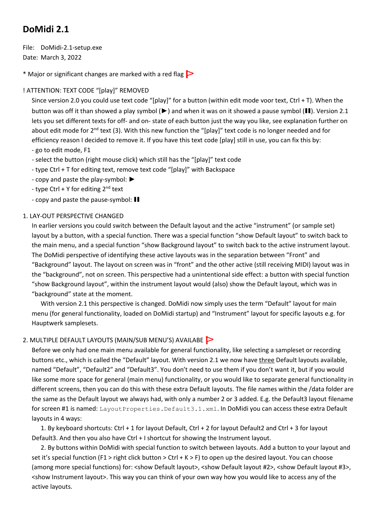## **DoMidi 2.1**

File: DoMidi-2.1-setup.exe Date: March 3, 2022

\* Major or significant changes are marked with a red flag  $\triangleright$ 

## ! ATTENTION: TEXT CODE "[play]" REMOVED

Since version 2.0 you could use text code "[play]" for a button (within edit mode voor text, Ctrl + T). When the button was off it than showed a play symbol (►) and when it was on it showed a pause symbol (❚❚). Version 2.1 lets you set different texts for off- and on- state of each button just the way you like, see explanation further on about edit mode for 2<sup>nd</sup> text (3). With this new function the "[play]" text code is no longer needed and for efficiency reason I decided to remove it. If you have this text code [play] still in use, you can fix this by: - go to edit mode, F1

- select the button (right mouse click) which still has the "[play]" text code
- type Ctrl + T for editing text, remove text code "[play]" with Backspace
- copy and paste the play-symbol: ►
- type Ctrl + Y for editing  $2^{nd}$  text
- copy and paste the pause-symbol: ❚❚

## 1. LAY-OUT PERSPECTIVE CHANGED

In earlier versions you could switch between the Default layout and the active "instrument" (or sample set) layout by a button, with a special function. There was a special function "show Default layout" to switch back to the main menu, and a special function "show Background layout" to switch back to the active instrument layout. The DoMidi perspective of identifying these active layouts was in the separation between "Front" and "Background" layout. The layout on screen was in "front" and the other active (still receiving MIDI) layout was in the "background", not on screen. This perspective had a unintentional side effect: a button with special function "show Background layout", within the instrument layout would (also) show the Default layout, which was in "background" state at the moment.

With version 2.1 this perspective is changed. DoMidi now simply uses the term "Default" layout for main menu (for general functionality, loaded on DoMidi startup) and "Instrument" layout for specific layouts e.g. for Hauptwerk samplesets.

## 2. MULTIPLE DEFAULT LAYOUTS (MAIN/SUB MENU'S) AVAILABE

Before we only had one main menu available for general functionality, like selecting a sampleset or recording buttons etc., which is called the "Default" layout. With version 2.1 we now have three Default layouts available, named "Default", "Default2" and "Default3". You don't need to use them if you don't want it, but if you would like some more space for general (main menu) functionality, or you would like to separate general functionality in different screens, then you can do this with these extra Default layouts. The file names within the /data folder are the same as the Default layout we always had, with only a number 2 or 3 added. E.g. the Default3 layout filename for screen #1 is named: LayoutProperties. Default3.1.xml. In DoMidi you can access these extra Default layouts in 4 ways:

1. By keyboard shortcuts: Ctrl + 1 for layout Default, Ctrl + 2 for layout Default2 and Ctrl + 3 for layout Default3. And then you also have Ctrl + I shortcut for showing the Instrument layout.

2. By buttons within DoMidi with special function to switch between layouts. Add a button to your layout and set it's special function (F1 > right click button > Ctrl + K > F) to open up the desired layout. You can choose (among more special functions) for: <show Default layout>, <show Default layout #2>, <show Default layout #3>, <show Instrument layout>. This way you can think of your own way how you would like to access any of the active layouts.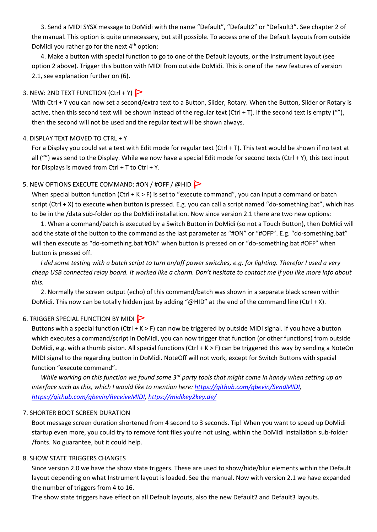3. Send a MIDI SYSX message to DoMidi with the name "Default", "Default2" or "Default3". See chapter 2 of the manual. This option is quite unnecessary, but still possible. To access one of the Default layouts from outside DoMidi you rather go for the next  $4<sup>th</sup>$  option:

4. Make a button with special function to go to one of the Default layouts, or the Instrument layout (see option 2 above). Trigger this button with MIDI from outside DoMidi. This is one of the new features of version 2.1, see explanation further on (6).

## 3. NEW: 2ND TEXT FUNCTION  $(CtrI + Y)$

With Ctrl + Y you can now set a second/extra text to a Button, Slider, Rotary. When the Button, Slider or Rotary is active, then this second text will be shown instead of the regular text (Ctrl + T). If the second text is empty (""), then the second will not be used and the regular text will be shown always.

## 4. DISPLAY TEXT MOVED TO CTRL + Y

For a Display you could set a text with Edit mode for regular text (Ctrl + T). This text would be shown if no text at all ("") was send to the Display. While we now have a special Edit mode for second texts (Ctrl + Y), this text input for Displays is moved from Ctrl + T to Ctrl + Y.

## 5. NEW OPTIONS EXECUTE COMMAND: #ON / #OFF / @HID

When special button function (Ctrl + K > F) is set to "execute command", you can input a command or batch script (Ctrl + X) to execute when button is pressed. E.g. you can call a script named "do-something.bat", which has to be in the /data sub-folder op the DoMidi installation. Now since version 2.1 there are two new options:

1. When a command/batch is executed by a Switch Button in DoMidi (so not a Touch Button), then DoMidi will add the state of the button to the command as the last parameter as "#ON" or "#OFF". E.g. "do-something.bat" will then execute as "do-something.bat #ON" when button is pressed on or "do-something.bat #OFF" when button is pressed off.

*I did some testing with a batch script to turn on/off power switches, e.g. for lighting. Therefor I used a very cheap USB connected relay board. It worked like a charm. Don't hesitate to contact me if you like more info about this.*

2. Normally the screen output (echo) of this command/batch was shown in a separate black screen within DoMidi. This now can be totally hidden just by adding "@HID" at the end of the command line (Ctrl + X).

## 6. TRIGGER SPECIAL FUNCTION BY MIDI

Buttons with a special function (Ctrl + K > F) can now be triggered by outside MIDI signal. If you have a button which executes a command/script in DoMidi, you can now trigger that function (or other functions) from outside DoMidi, e.g. with a thumb piston. All special functions (Ctrl + K > F) can be triggered this way by sending a NoteOn MIDI signal to the regarding button in DoMidi. NoteOff will not work, except for Switch Buttons with special function "execute command".

*While working on this function we found some 3rd party tools that might come in handy when setting up an interface such as this, which I would like to mention here: [https://github.com/gbevin/SendMIDI,](https://github.com/gbevin/SendMIDI) [https://github.com/gbevin/ReceiveMIDI,](https://github.com/gbevin/ReceiveMIDI)<https://midikey2key.de/>*

## 7. SHORTER BOOT SCREEN DURATION

Boot message screen duration shortened from 4 second to 3 seconds. Tip! When you want to speed up DoMidi startup even more, you could try to remove font files you're not using, within the DoMidi installation sub-folder /fonts. No guarantee, but it could help.

## 8. SHOW STATE TRIGGERS CHANGES

Since version 2.0 we have the show state triggers. These are used to show/hide/blur elements within the Default layout depending on what Instrument layout is loaded. See the manual. Now with version 2.1 we have expanded the number of triggers from 4 to 16.

The show state triggers have effect on all Default layouts, also the new Default2 and Default3 layouts.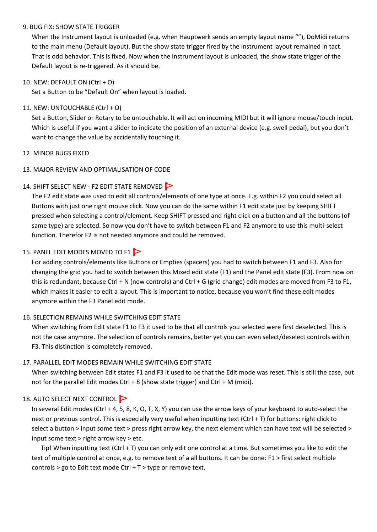#### 9. BUG FIX: SHOW STATE TRIGGER

When the Instrument layout is unloaded (e.g. when Hauptwerk sends an empty layout name ""), DoMidi returns to the main menu (Default layout). But the show state trigger fired by the Instrument layout remained in tact. That is odd behavior. This is fixed. Now when the Instrument layout is unloaded, the show state trigger of the Default layout is re-triggered. As it should be.

#### 10. NEW: DEFAULT ON (Ctrl + O)

Set a Button to be "Default On" when layout is loaded.

## 11. NEW: UNTOUCHABLE (Ctrl + O)

Set a Button, Slider or Rotary to be untouchable. It will act on incoming MIDI but it will ignore mouse/touch input. Which is useful if you want a slider to indicate the position of an external device (e.g. swell pedal), but you don't want to change the value by accidentally touching it.

#### 12. MINOR BUGS FIXED

## 13. MAJOR REVIEW AND OPTIMALISATION OF CODE

## 14. SHIFT SELECT NEW - F2 EDIT STATE REMOVED

The F2 edit state was used to edit all controls/elements of one type at once. E.g. within F2 you could select all Buttons with just one right mouse click. Now you can do the same within F1 edit state just by keeping SHIFT pressed when selecting a control/element. Keep SHIFT pressed and right click on a button and all the buttons (of same type) are selected. So now you don't have to switch between F1 and F2 anymore to use this multi-select function. Therefor F2 is not needed anymore and could be removed.

## 15. PANEL EDIT MODES MOVED TO F1

For adding controls/elements like Buttons or Empties (spacers) you had to switch between F1 and F3. Also for changing the grid you had to switch between this Mixed edit state (F1) and the Panel edit state (F3). From now on this is redundant, because Ctrl + N (new controls) and Ctrl + G (grid change) edit modes are moved from F3 to F1, which makes it easier to edit a layout. This is important to notice, because you won't find these edit modes anymore within the F3 Panel edit mode.

## 16. SELECTION REMAINS WHILE SWITCHING EDIT STATE

When switching from Edit state F1 to F3 it used to be that all controls you selected were first deselected. This is not the case anymore. The selection of controls remains, better yet you can even select/deselect controls within F3. This distinction is completely removed.

## 17. PARALLEL EDIT MODES REMAIN WHILE SWITCHING EDIT STATE

When switching between Edit states F1 and F3 it used to be that the Edit mode was reset. This is still the case, but not for the parallel Edit modes Ctrl + 8 (show state trigger) and Ctrl + M (midi).

## 18. AUTO SELECT NEXT CONTROL

In several Edit modes (Ctrl + 4, 5, 8, K, O, T, X, Y) you can use the arrow keys of your keyboard to auto-select the next or previous control. This is especially very useful when inputting text (Ctrl + T) for buttons: right click to select a button > input some text > press right arrow key, the next element which can have text will be selected > input some text > right arrow key > etc.

Tip! When inputting text (Ctrl + T) you can only edit one control at a time. But sometimes you like to edit the text of multiple control at once, e.g. to remove text of a all buttons. It can be done: F1 > first select multiple controls > go to Edit text mode Ctrl + T > type or remove text.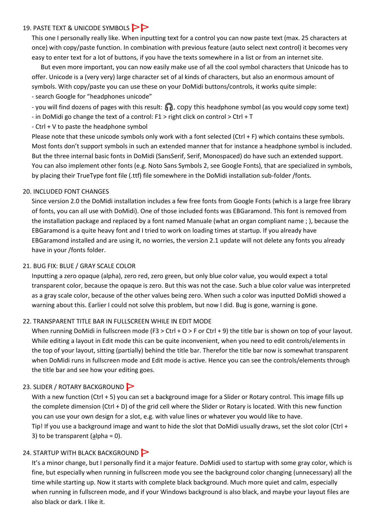## 19. PASTE TEXT & UNICODE SYMBOLS  $\triangleright$

This one I personally really like. When inputting text for a control you can now paste text (max. 25 characters at once) with copy/paste function. In combination with previous feature (auto select next control) it becomes very easy to enter text for a lot of buttons, if you have the texts somewhere in a list or from an internet site.

But even more important, you can now easily make use of all the cool symbol characters that Unicode has to offer. Unicode is a (very very) large character set of al kinds of characters, but also an enormous amount of symbols. With copy/paste you can use these on your DoMidi buttons/controls, it works quite simple: - search Google for "headphones unicode"

- you will find dozens of pages with this result:  $\bigcap_{n=1}^{\infty}$ , copy this headphone symbol (as you would copy some text)
- in DoMidi go change the text of a control: F1 > right click on control > Ctrl + T
- Ctrl + V to paste the headphone symbol

Please note that these unicode symbols only work with a font selected (Ctrl + F) which contains these symbols. Most fonts don't support symbols in such an extended manner that for instance a headphone symbol is included. But the three internal basic fonts in DoMidi (SansSerif, Serif, Monospaced) do have such an extended support. You can also implement other fonts (e.g. Noto Sans Symbols 2, see Google Fonts), that are specialized in symbols, by placing their TrueType font file (.ttf) file somewhere in the DoMidi installation sub-folder /fonts.

## 20. INCLUDED FONT CHANGES

Since version 2.0 the DoMidi installation includes a few free fonts from Google Fonts (which is a large free library of fonts, you can all use with DoMidi). One of those included fonts was EBGaramond. This font is removed from the installation package and replaced by a font named Manuale (what an organ compliant name ; ), because the EBGaramond is a quite heavy font and I tried to work on loading times at startup. If you already have EBGaramond installed and are using it, no worries, the version 2.1 update will not delete any fonts you already have in your /fonts folder.

## 21. BUG FIX: BLUE / GRAY SCALE COLOR

Inputting a zero opaque (alpha), zero red, zero green, but only blue color value, you would expect a total transparent color, because the opaque is zero. But this was not the case. Such a blue color value was interpreted as a gray scale color, because of the other values being zero. When such a color was inputted DoMidi showed a warning about this. Earlier I could not solve this problem, but now I did. Bug is gone, warning is gone.

## 22. TRANSPARENT TITLE BAR IN FULLSCREEN WHILE IN EDIT MODE

When running DoMidi in fullscreen mode (F3 > Ctrl + O > F or Ctrl + 9) the title bar is shown on top of your layout. While editing a layout in Edit mode this can be quite inconvenient, when you need to edit controls/elements in the top of your layout, sitting (partially) behind the title bar. Therefor the title bar now is somewhat transparent when DoMidi runs in fullscreen mode and Edit mode is active. Hence you can see the controls/elements through the title bar and see how your editing goes.

## 23. SLIDER / ROTARY BACKGROUND

With a new function (Ctrl + 5) you can set a background image for a Slider or Rotary control. This image fills up the complete dimension (Ctrl + D) of the grid cell where the Slider or Rotary is located. With this new function you can use your own design for a slot, e.g. with value lines or whatever you would like to have. Tip! If you use a background image and want to hide the slot that DoMidi usually draws, set the slot color (Ctrl + 3) to be transparent (alpha = 0).

## 24. STARTUP WITH BLACK BACKGROUND

It's a minor change, but I personally find it a major feature. DoMidi used to startup with some gray color, which is fine, but especially when running in fullscreen mode you see the background color changing (unnecessary) all the time while starting up. Now it starts with complete black background. Much more quiet and calm, especially when running in fullscreen mode, and if your Windows background is also black, and maybe your layout files are also black or dark. I like it.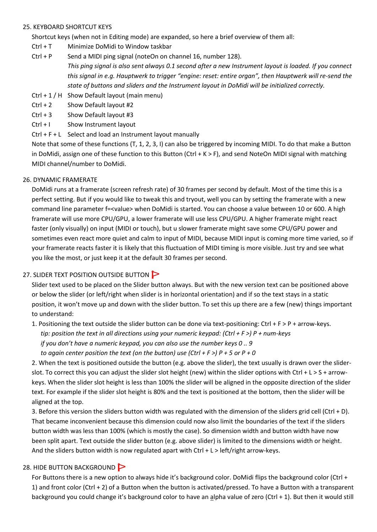#### 25. KEYBOARD SHORTCUT KEYS

Shortcut keys (when not in Editing mode) are expanded, so here a brief overview of them all:

- Ctrl + T Minimize DoMidi to Window taskbar
- Ctrl + P Send a MIDI ping signal (noteOn on channel 16, number 128). *This ping signal is also sent always 0.1 second after a new Instrument layout is loaded. If you connect this signal in e.g. Hauptwerk to trigger "engine: reset: entire organ", then Hauptwerk will re-send the state of buttons and sliders and the Instrument layout in DoMidi will be initialized correctly.*
- Ctrl + 1 / H Show Default layout (main menu)
- Ctrl + 2 Show Default layout #2
- Ctrl + 3 Show Default layout #3
- Ctrl + I Show Instrument layout
- Ctrl + F + L Select and load an Instrument layout manually

Note that some of these functions (T, 1, 2, 3, I) can also be triggered by incoming MIDI. To do that make a Button in DoMidi, assign one of these function to this Button (Ctrl  $+ K > F$ ), and send NoteOn MIDI signal with matching MIDI channel/number to DoMidi.

## 26. DYNAMIC FRAMERATE

DoMidi runs at a framerate (screen refresh rate) of 30 frames per second by default. Most of the time this is a perfect setting. But if you would like to tweak this and tryout, well you can by setting the framerate with a new command line parameter f=<value> when DoMidi is started. You can choose a value between 10 or 600. A high framerate will use more CPU/GPU, a lower framerate will use less CPU/GPU. A higher framerate might react faster (only visually) on input (MIDI or touch), but u slower framerate might save some CPU/GPU power and sometimes even react more quiet and calm to input of MIDI, because MIDI input is coming more time varied, so if your framerate reacts faster it is likely that this fluctuation of MIDI timing is more visible. Just try and see what you like the most, or just keep it at the default 30 frames per second.

## 27. SLIDER TEXT POSITION OUTSIDE BUTTON

Slider text used to be placed on the Slider button always. But with the new version text can be positioned above or below the slider (or left/right when slider is in horizontal orientation) and if so the text stays in a static position, it won't move up and down with the slider button. To set this up there are a few (new) things important to understand:

1. Positioning the text outside the slider button can be done via text-positioning: Ctrl + F > P + arrow-keys. *tip: position the text in all directions using your numeric keypad: (Ctrl + F >) P + num-keys if you don't have a numeric keypad, you can also use the number keys 0 .. 9 to again center position the text (on the button) use (Ctrl + F >) P + 5 or P + 0*

2. When the text is positioned outside the button (e.g. above the slider), the text usually is drawn over the sliderslot. To correct this you can adjust the slider slot height (new) within the slider options with Ctrl + L > S + arrowkeys. When the slider slot height is less than 100% the slider will be aligned in the opposite direction of the slider text. For example if the slider slot height is 80% and the text is positioned at the bottom, then the slider will be aligned at the top.

3. Before this version the sliders button width was regulated with the dimension of the sliders grid cell (Ctrl + D). That became inconvenient because this dimension could now also limit the boundaries of the text if the sliders button width was less than 100% (which is mostly the case). So dimension width and button width have now been split apart. Text outside the slider button (e.g. above slider) is limited to the dimensions width or height. And the sliders button width is now regulated apart with Ctrl  $+$  L > left/right arrow-keys.

## 28. HIDE BUTTON BACKGROUND

For Buttons there is a new option to always hide it's background color. DoMidi flips the background color (Ctrl + 1) and front color (Ctrl + 2) of a Button when the button is activated/pressed. To have a Button with a transparent background you could change it's background color to have an alpha value of zero (Ctrl + 1). But then it would still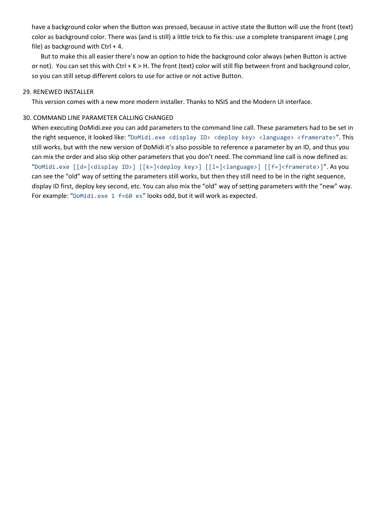have a background color when the Button was pressed, because in active state the Button will use the front (text) color as background color. There was (and is still) a little trick to fix this: use a complete transparent image (.png file) as background with Ctrl  $+$  4.

But to make this all easier there's now an option to hide the background color always (when Button is active or not). You can set this with Ctrl  $+ K > H$ . The front (text) color will still flip between front and background color, so you can still setup different colors to use for active or not active Button.

#### 29. RENEWED INSTALLER

This version comes with a new more modern installer. Thanks to NSIS and the Modern UI interface.

#### 30. COMMAND LINE PARAMETER CALLING CHANGED

When executing DoMidi.exe you can add parameters to the command line call. These parameters had to be set in the right sequence, it looked like: "DoMidi.exe <display ID> <deploy key> <language> <framerate>". This still works, but with the new version of DoMidi it's also possible to reference a parameter by an ID, and thus you can mix the order and also skip other parameters that you don't need. The command line call is now defined as: "DoMidi.exe [[d=]<display ID>] [[k=]<deploy key>] [[l=]<language>] [[f=]<framerate>]". As you can see the "old" way of setting the parameters still works, but then they still need to be in the right sequence, display ID first, deploy key second, etc. You can also mix the "old" way of setting parameters with the "new" way. For example: "DoMidi.exe 1 f=60 es" looks odd, but it will work as expected.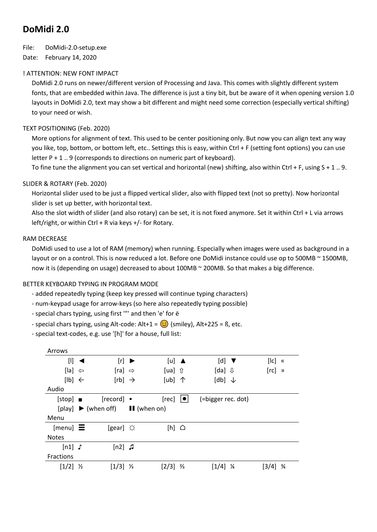## **DoMidi 2.0**

File: DoMidi-2.0-setup.exe

Date: February 14, 2020

## ! ATTENTION: NEW FONT IMPACT

DoMidi 2.0 runs on newer/different version of Processing and Java. This comes with slightly different system fonts, that are embedded within Java. The difference is just a tiny bit, but be aware of it when opening version 1.0 layouts in DoMidi 2.0, text may show a bit different and might need some correction (especially vertical shifting) to your need or wish.

## TEXT POSITIONING (Feb. 2020)

More options for alignment of text. This used to be center positioning only. But now you can align text any way you like, top, bottom, or bottom left, etc.. Settings this is easy, within Ctrl + F (setting font options) you can use letter P + 1 .. 9 (corresponds to directions on numeric part of keyboard).

To fine tune the alignment you can set vertical and horizontal (new) shifting, also within Ctrl + F, using S + 1 .. 9.

## SLIDER & ROTARY (Feb. 2020)

Horizontal slider used to be just a flipped vertical slider, also with flipped text (not so pretty). Now horizontal slider is set up better, with horizontal text.

Also the slot width of slider (and also rotary) can be set, it is not fixed anymore. Set it within Ctrl + L via arrows left/right, or within Ctrl + R via keys +/- for Rotary.

## RAM DECREASE

DoMidi used to use a lot of RAM (memory) when running. Especially when images were used as background in a layout or on a control. This is now reduced a lot. Before one DoMidi instance could use op to 500MB ~ 1500MB, now it is (depending on usage) decreased to about 100MB ~ 200MB. So that makes a big difference.

## BETTER KEYBOARD TYPING IN PROGRAM MODE

- added repeatedly typing (keep key pressed will continue typing characters)
- num-keypad usage for arrow-keys (so here also repeatedly typing possible)
- special chars typing, using first '"' and then 'e' for ë

- special chars typing, using Alt-code:  $Alt+1 = \bigodot$  (smiley),  $Alt+225 = B$ , etc.

- special text-codes, e.g. use '[h]' for a house, full list:

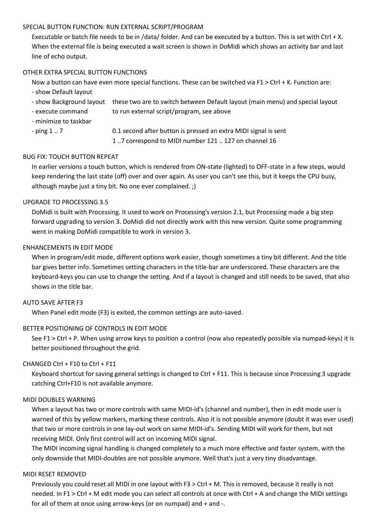#### SPECIAL BUTTON FUNCTION: RUN EXTERNAL SCRIPT/PROGRAM

Executable or batch file needs to be in /data/ folder. And can be executed by a button. This is set with Ctrl + X. When the external file is being executed a wait screen is shown in DoMidi which shows an activity bar and last line of echo output.

#### OTHER EXTRA SPECIAL BUTTON FUNCTIONS

Now a button can have even more special functions. These can be switched via F1 > Ctrl + K. Function are:

- show Default layout
- show Background layout these two are to switch between Default layout (main menu) and special layout
- execute command to run external script/program, see above
- minimize to taskbar
- 

- ping 1 .. 7 0.1 second after button is pressed an extra MIDI signal is sent 1 ..7 correspond to MIDI number 121 .. 127 on channel 16

#### BUG FIX: TOUCH BUTTON REPEAT

In earlier versions a touch button, which is rendered from ON-state (lighted) to OFF-state in a few steps, would keep rendering the last state (off) over and over again. As user you can't see this, but it keeps the CPU busy, although maybe just a tiny bit. No one ever complained. ;)

#### UPGRADE TO PROCESSING 3.5

DoMidi is built with Processing. It used to work on Processing's version 2.1, but Processing made a big step forward upgrading to version 3. DoMidi did not directly work with this new version. Quite some programming went in making DoMidi compatible to work in version 3.

## ENHANCEMENTS IN EDIT MODE

When in program/edit mode, different options work easier, though sometimes a tiny bit different. And the title bar gives better info. Sometimes setting characters in the title-bar are underscored. These characters are the keyboard-keys you can use to change the setting. And if a layout is changed and still needs to be saved, that also shows in the title bar.

#### AUTO SAVE AFTER F3

When Panel edit mode (F3) is exited, the common settings are auto-saved.

## BETTER POSITIONING OF CONTROLS IN EDIT MODE

See F1 > Ctrl + P. When using arrow keys to position a control (now also repeatedly possible via numpad-keys) it is better positioned throughout the grid.

## CHANGED Ctrl + F10 to Ctrl + F11

Keyboard shortcut for saving general settings is changed to Ctrl + F11. This is because since Processing 3 upgrade catching Ctrl+F10 is not available anymore.

## MIDI DOUBLES WARNING

When a layout has two or more controls with same MIDI-id's (channel and number), then in edit mode user is warned of this by yellow markers, marking these controls. Also it is not possible anymore (doubt it was ever used) that two or more controls in one lay-out work on same MIDI-id's. Sending MIDI will work for them, but not receiving MIDI. Only first control will act on incoming MIDI signal.

The MIDI incoming signal handling is changed completely to a much more effective and faster system, with the only downside that MIDI-doubles are not possible anymore. Well that's just a very tiny disadvantage.

#### MIDI RESET REMOVED

Previously you could reset all MIDI in one layout with F3 > Ctrl + M. This is removed, because it really is not needed. In F1 > Ctrl + M edit mode you can select all controls at once with Ctrl + A and change the MIDI settings for all of them at once using arrow-keys (or on numpad) and + and -.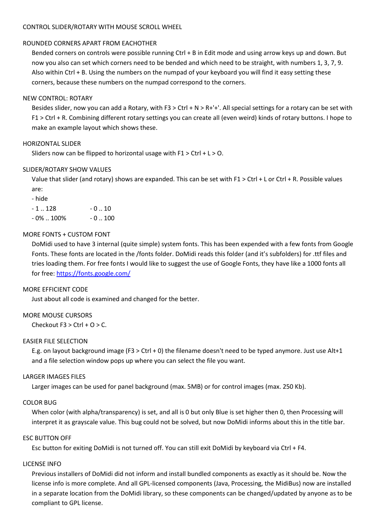#### CONTROL SLIDER/ROTARY WITH MOUSE SCROLL WHEEL

## ROUNDED CORNERS APART FROM EACHOTHER

Bended corners on controls were possible running Ctrl + B in Edit mode and using arrow keys up and down. But now you also can set which corners need to be bended and which need to be straight, with numbers 1, 3, 7, 9. Also within Ctrl + B. Using the numbers on the numpad of your keyboard you will find it easy setting these corners, because these numbers on the numpad correspond to the corners.

## NEW CONTROL: ROTARY

Besides slider, now you can add a Rotary, with F3 > Ctrl + N > R+'+'. All special settings for a rotary can be set with F1 > Ctrl + R. Combining different rotary settings you can create all (even weird) kinds of rotary buttons. I hope to make an example layout which shows these.

## HORIZONTAL SLIDER

Sliders now can be flipped to horizontal usage with F1 > Ctrl + L > O.

## SLIDER/ROTARY SHOW VALUES

Value that slider (and rotary) shows are expanded. This can be set with F1 > Ctrl + L or Ctrl + R. Possible values are:

- hide

| - 1  128   | $-0.10$  |
|------------|----------|
| - 0%  100% | $-0.100$ |

#### MORE FONTS + CUSTOM FONT

DoMidi used to have 3 internal (quite simple) system fonts. This has been expended with a few fonts from Google Fonts. These fonts are located in the /fonts folder. DoMidi reads this folder (and it's subfolders) for .ttf files and tries loading them. For free fonts I would like to suggest the use of Google Fonts, they have like a 1000 fonts all for free: <https://fonts.google.com/>

#### MORE EFFICIENT CODE

Just about all code is examined and changed for the better.

## MORE MOUSE CURSORS

Checkout  $F3 > C$ trl + O > C.

#### EASIER FILE SELECTION

E.g. on layout background image (F3 > Ctrl + 0) the filename doesn't need to be typed anymore. Just use Alt+1 and a file selection window pops up where you can select the file you want.

#### LARGER IMAGES FILES

Larger images can be used for panel background (max. 5MB) or for control images (max. 250 Kb).

#### COLOR BUG

When color (with alpha/transparency) is set, and all is 0 but only Blue is set higher then 0, then Processing will interpret it as grayscale value. This bug could not be solved, but now DoMidi informs about this in the title bar.

#### ESC BUTTON OFF

Esc button for exiting DoMidi is not turned off. You can still exit DoMidi by keyboard via Ctrl + F4.

#### LICENSE INFO

Previous installers of DoMidi did not inform and install bundled components as exactly as it should be. Now the license info is more complete. And all GPL-licensed components (Java, Processing, the MidiBus) now are installed in a separate location from the DoMidi library, so these components can be changed/updated by anyone as to be compliant to GPL license.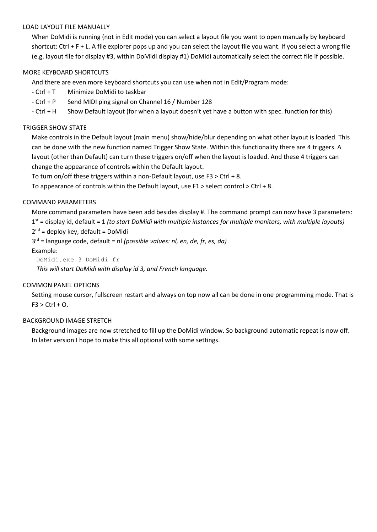#### LOAD LAYOUT FILE MANUALLY

When DoMidi is running (not in Edit mode) you can select a layout file you want to open manually by keyboard shortcut: Ctrl + F + L. A file explorer pops up and you can select the layout file you want. If you select a wrong file (e.g. layout file for display #3, within DoMidi display #1) DoMidi automatically select the correct file if possible.

#### MORE KEYBOARD SHORTCUTS

And there are even more keyboard shortcuts you can use when not in Edit/Program mode:

- Ctrl + T Minimize DoMidi to taskbar
- Ctrl + P Send MIDI ping signal on Channel 16 / Number 128
- Ctrl + H Show Default layout (for when a layout doesn't yet have a button with spec. function for this)

#### TRIGGER SHOW STATE

Make controls in the Default layout (main menu) show/hide/blur depending on what other layout is loaded. This can be done with the new function named Trigger Show State. Within this functionality there are 4 triggers. A layout (other than Default) can turn these triggers on/off when the layout is loaded. And these 4 triggers can change the appearance of controls within the Default layout.

To turn on/off these triggers within a non-Default layout, use F3 > Ctrl + 8.

To appearance of controls within the Default layout, use  $F1 >$  select control  $>$  Ctrl + 8.

#### COMMAND PARAMETERS

More command parameters have been add besides display #. The command prompt can now have 3 parameters: 1 st = display id, default = 1 *(to start DoMidi with multiple instances for multiple monitors, with multiple layouts)* 2<sup>nd</sup> = deploy key, default = DoMidi

3 rd = language code, default = nl *(possible values: nl, en, de, fr, es, da)*

#### Example:

DoMidi.exe 3 DoMidi fr

 *This will start DoMidi with display id 3, and French language.*

#### COMMON PANEL OPTIONS

Setting mouse cursor, fullscreen restart and always on top now all can be done in one programming mode. That is  $F3 > CtrI + O.$ 

#### BACKGROUND IMAGE STRETCH

Background images are now stretched to fill up the DoMidi window. So background automatic repeat is now off. In later version I hope to make this all optional with some settings.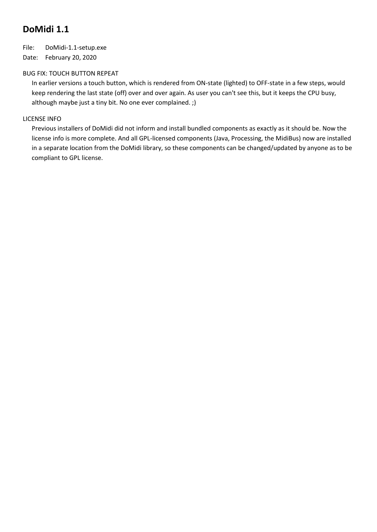## **DoMidi 1.1**

File: DoMidi-1.1-setup.exe Date: February 20, 2020

## BUG FIX: TOUCH BUTTON REPEAT

In earlier versions a touch button, which is rendered from ON-state (lighted) to OFF-state in a few steps, would keep rendering the last state (off) over and over again. As user you can't see this, but it keeps the CPU busy, although maybe just a tiny bit. No one ever complained. ;)

## LICENSE INFO

Previous installers of DoMidi did not inform and install bundled components as exactly as it should be. Now the license info is more complete. And all GPL-licensed components (Java, Processing, the MidiBus) now are installed in a separate location from the DoMidi library, so these components can be changed/updated by anyone as to be compliant to GPL license.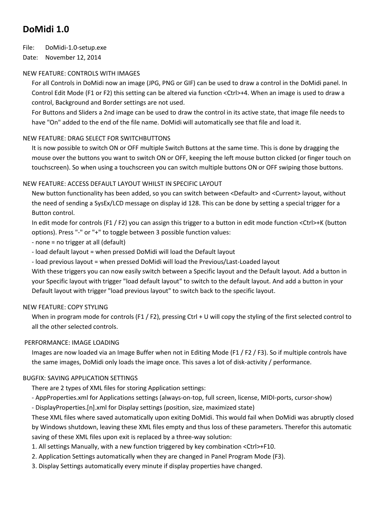## **DoMidi 1.0**

File: DoMidi-1.0-setup.exe

Date: November 12, 2014

## NEW FEATURE: CONTROLS WITH IMAGES

For all Controls in DoMidi now an image (JPG, PNG or GIF) can be used to draw a control in the DoMidi panel. In Control Edit Mode (F1 or F2) this setting can be altered via function <Ctrl>+4. When an image is used to draw a control, Background and Border settings are not used.

For Buttons and Sliders a 2nd image can be used to draw the control in its active state, that image file needs to have "On" added to the end of the file name. DoMidi will automatically see that file and load it.

## NEW FEATURE: DRAG SELECT FOR SWITCHBUTTONS

It is now possible to switch ON or OFF multiple Switch Buttons at the same time. This is done by dragging the mouse over the buttons you want to switch ON or OFF, keeping the left mouse button clicked (or finger touch on touchscreen). So when using a touchscreen you can switch multiple buttons ON or OFF swiping those buttons.

## NEW FEATURE: ACCESS DEFAULT LAYOUT WHILST IN SPECIFIC LAYOUT

New button functionality has been added, so you can switch between <Default> and <Current> layout, without the need of sending a SysEx/LCD message on display id 128. This can be done by setting a special trigger for a Button control.

In edit mode for controls (F1 / F2) you can assign this trigger to a button in edit mode function <Ctrl>+K (button options). Press "-" or "+" to toggle between 3 possible function values:

- none = no trigger at all (default)

- load default layout = when pressed DoMidi will load the Default layout

- load previous layout = when pressed DoMidi will load the Previous/Last-Loaded layout

With these triggers you can now easily switch between a Specific layout and the Default layout. Add a button in your Specific layout with trigger "load default layout" to switch to the default layout. And add a button in your Default layout with trigger "load previous layout" to switch back to the specific layout.

## NEW FEATURE: COPY STYLING

When in program mode for controls (F1 / F2), pressing Ctrl + U will copy the styling of the first selected control to all the other selected controls.

## PERFORMANCE: IMAGE LOADING

Images are now loaded via an Image Buffer when not in Editing Mode (F1 / F2 / F3). So if multiple controls have the same images, DoMidi only loads the image once. This saves a lot of disk-activity / performance.

## BUGFIX: SAVING APPLICATION SETTINGS

There are 2 types of XML files for storing Application settings:

- AppProperties.xml for Applications settings (always-on-top, full screen, license, MIDI-ports, cursor-show)

- DisplayProperties.[n].xml for Display settings (position, size, maximized state)

These XML files where saved automatically upon exiting DoMidi. This would fail when DoMidi was abruptly closed by Windows shutdown, leaving these XML files empty and thus loss of these parameters. Therefor this automatic saving of these XML files upon exit is replaced by a three-way solution:

- 1. All settings Manually, with a new function triggered by key combination <Ctrl>+F10.
- 2. Application Settings automatically when they are changed in Panel Program Mode (F3).
- 3. Display Settings automatically every minute if display properties have changed.